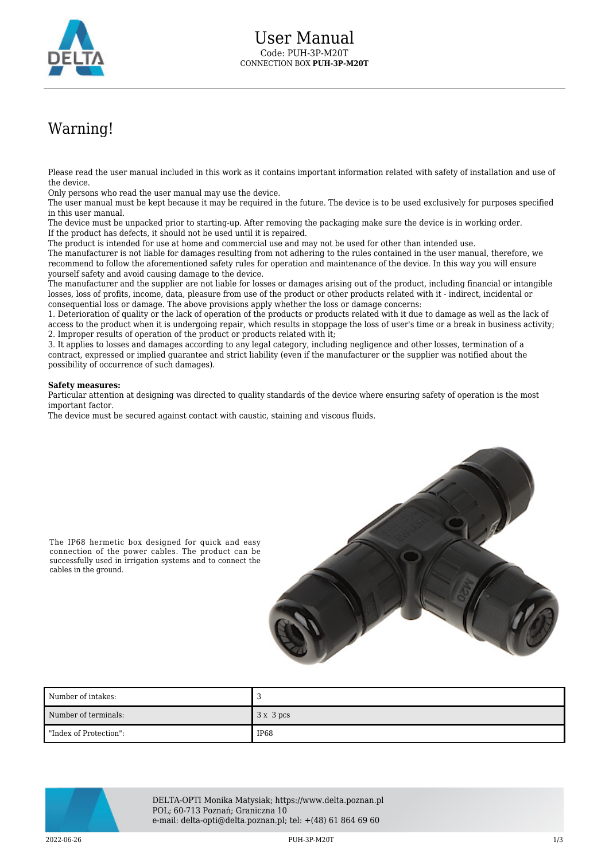

## Warning!

Please read the user manual included in this work as it contains important information related with safety of installation and use of the device.

Only persons who read the user manual may use the device.

The user manual must be kept because it may be required in the future. The device is to be used exclusively for purposes specified in this user manual.

The device must be unpacked prior to starting-up. After removing the packaging make sure the device is in working order. If the product has defects, it should not be used until it is repaired.

The product is intended for use at home and commercial use and may not be used for other than intended use.

The manufacturer is not liable for damages resulting from not adhering to the rules contained in the user manual, therefore, we recommend to follow the aforementioned safety rules for operation and maintenance of the device. In this way you will ensure yourself safety and avoid causing damage to the device.

The manufacturer and the supplier are not liable for losses or damages arising out of the product, including financial or intangible losses, loss of profits, income, data, pleasure from use of the product or other products related with it - indirect, incidental or consequential loss or damage. The above provisions apply whether the loss or damage concerns:

1. Deterioration of quality or the lack of operation of the products or products related with it due to damage as well as the lack of access to the product when it is undergoing repair, which results in stoppage the loss of user's time or a break in business activity; 2. Improper results of operation of the product or products related with it;

3. It applies to losses and damages according to any legal category, including negligence and other losses, termination of a contract, expressed or implied guarantee and strict liability (even if the manufacturer or the supplier was notified about the possibility of occurrence of such damages).

## **Safety measures:**

Particular attention at designing was directed to quality standards of the device where ensuring safety of operation is the most important factor.

The device must be secured against contact with caustic, staining and viscous fluids.



The IP68 hermetic box designed for quick and easy connection of the power cables. The product can be successfully used in irrigation systems and to connect the cables in the ground.

| Number of intakes:     |        |
|------------------------|--------|
| Number of terminals:   | 3x3pcs |
| "Index of Protection": | IP68   |



DELTA-OPTI Monika Matysiak; https://www.delta.poznan.pl POL; 60-713 Poznań; Graniczna 10 e-mail: delta-opti@delta.poznan.pl; tel: +(48) 61 864 69 60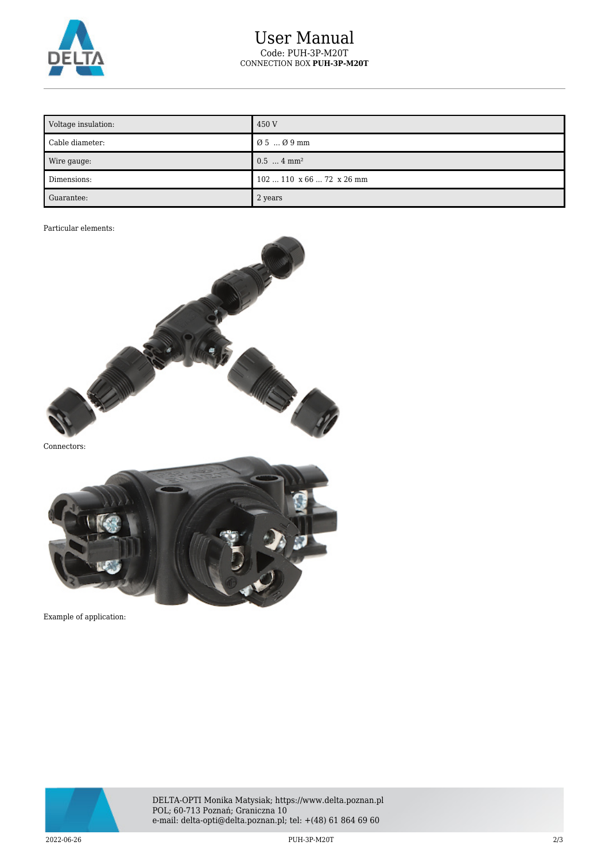

## User Manual Code: PUH-3P-M20T CONNECTION BOX **PUH-3P-M20T**

| Voltage insulation: | 450 V                             |
|---------------------|-----------------------------------|
| Cable diameter:     | Ø 5  Ø 9 mm                       |
| Wire gauge:         | $0.5$ 4 mm <sup>2</sup>           |
| Dimensions:         | $102110 \times 6672 \times 26$ mm |
| Guarantee:          | 2 years                           |

## Particular elements:



Connectors:



Example of application:



DELTA-OPTI Monika Matysiak; https://www.delta.poznan.pl POL; 60-713 Poznań; Graniczna 10 e-mail: delta-opti@delta.poznan.pl; tel: +(48) 61 864 69 60

2022-06-26 PUH-3P-M20T 2/3